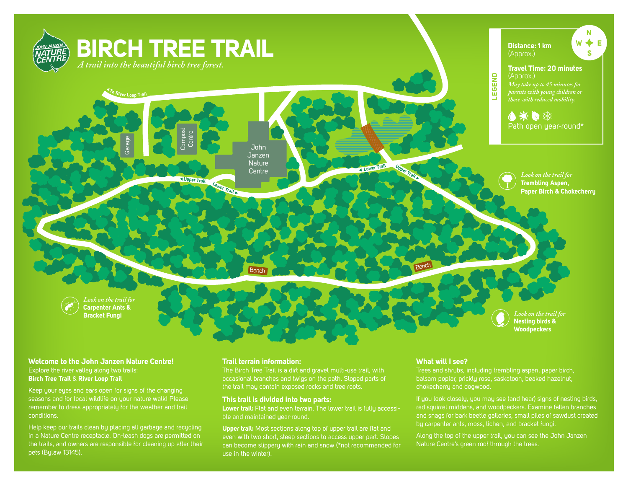

### **Welcome to the John Janzen Nature Centre!** Explore the river valley along two trails: **Birch Tree Trail** & **River Loop Trail**

Keep your eyes and ears open for signs of the changing seasons and for local wildlife on your nature walk! Please remember to dress appropriately for the weather and trail conditions.

Help keep our trails clean by placing all garbage and recycling in a Nature Centre receptacle. On-leash dogs are permitted on the trails, and owners are responsible for cleaning up after their pets (Bylaw 13145).

### **Trail terrain information:**

The Birch Tree Trail is a dirt and gravel multi-use trail, with occasional branches and twigs on the path. Sloped parts of the trail may contain exposed rocks and tree roots.

### **This trail is divided into two parts:**

**Lower trail:** Flat and even terrain. The lower trail is fully accessible and maintained year-round.

**Upper trail:** Most sections along top of upper trail are flat and even with two short, steep sections to access upper part. Slopes can become slippery with rain and snow (\*not recommended for use in the winter).

# **What will I see?**

Trees and shrubs, including trembling aspen, paper birch, balsam poplar, prickly rose, saskatoon, beaked hazelnut, chokecherry and dogwood.

If you look closely, you may see (and hear) signs of nesting birds, red squirrel middens, and woodpeckers. Examine fallen branches and snags for bark beetle galleries, small piles of sawdust created

Along the top of the upper trail, you can see the John Janzen Nature Centre's green roof through the trees.